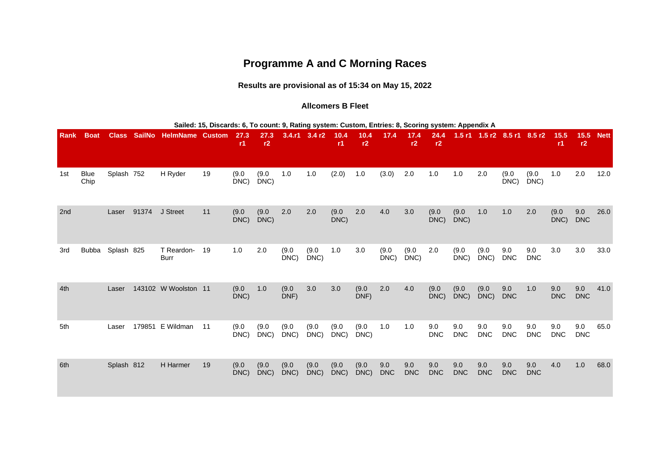# **Programme A and C Morning Races**

**Results are provisional as of 15:34 on May 15, 2022**

#### **Allcomers B Fleet**

|      |              |              |               |                        | Sailed: 15, Discards: 6, To count: 9, Rating system: Custom, Entries: 8, Scoring system: Appendix A |               |               |                  |                   |               |               |                   |                   |                   |                   |                             |                   |                   |                   |                   |             |
|------|--------------|--------------|---------------|------------------------|-----------------------------------------------------------------------------------------------------|---------------|---------------|------------------|-------------------|---------------|---------------|-------------------|-------------------|-------------------|-------------------|-----------------------------|-------------------|-------------------|-------------------|-------------------|-------------|
| Rank | <b>Boat</b>  | <b>Class</b> | <b>SailNo</b> | <b>HelmName Custom</b> |                                                                                                     | 27.3<br>r1    | 27.3<br>r2    |                  | $3.4.r1$ $3.4 r2$ | 10.4<br>r1    | 10.4<br>r2    | 17.4              | 17.4<br>r2        | 24.4<br>r2        |                   | 1.5 r1 1.5 r2 8.5 r1 8.5 r2 |                   |                   | 15.5<br>r1        | 15.5<br>r2        | <b>Nett</b> |
| 1st  | Blue<br>Chip | Splash 752   |               | H Ryder                | 19                                                                                                  | (9.0)<br>DNC) | (9.0)<br>DNC) | 1.0              | 1.0               | (2.0)         | 1.0           | (3.0)             | 2.0               | 1.0               | $1.0$             | 2.0                         | (9.0)<br>DNC      | (9.0)<br>DNC)     | 1.0               | 2.0               | 12.0        |
| 2nd  |              | Laser        | 91374         | J Street               | 11                                                                                                  | (9.0)<br>DNC) | (9.0)<br>DNC) | 2.0              | 2.0               | (9.0)<br>DNC) | 2.0           | 4.0               | 3.0               | (9.0)<br>DNC)     | (9.0)<br>DNC)     | 1.0                         | 1.0               | 2.0               | (9.0)<br>DNC)     | 9.0<br><b>DNC</b> | 26.0        |
| 3rd  | <b>Bubba</b> | Splash 825   |               | T Reardon-<br>Burr     | 19                                                                                                  | 1.0           | 2.0           | (9.0)<br>$DNC$ ) | (9.0)<br>DNC      | $1.0$         | 3.0           | (9.0)<br>DNC)     | (9.0)<br>DNC      | 2.0               | (9.0)<br>DNC)     | (9.0)<br>DNC)               | 9.0<br><b>DNC</b> | 9.0<br><b>DNC</b> | 3.0               | 3.0               | 33.0        |
| 4th  |              | Laser        |               | 143102 W Woolston 11   |                                                                                                     | (9.0)<br>DNC) | 1.0           | (9.0)<br>DNF)    | 3.0               | 3.0           | (9.0)<br>DNF) | 2.0               | 4.0               | (9.0)<br>DNC)     | (9.0)<br>DNC)     | (9.0)<br>DNC)               | 9.0<br><b>DNC</b> | 1.0               | 9.0<br><b>DNC</b> | 9.0<br><b>DNC</b> | 41.0        |
| 5th  |              | Laser        |               | 179851 E Wildman       | 11                                                                                                  | (9.0)<br>DNC) | (9.0)<br>DNC) | (9.0)<br>DNC)    | (9.0)<br>DNC)     | (9.0)<br>DNC) | (9.0)<br>DNC) | 1.0               | 1.0               | 9.0<br><b>DNC</b> | 9.0<br><b>DNC</b> | 9.0<br><b>DNC</b>           | 9.0<br><b>DNC</b> | 9.0<br><b>DNC</b> | 9.0<br><b>DNC</b> | 9.0<br><b>DNC</b> | 65.0        |
| 6th  |              | Splash 812   |               | H Harmer               | 19                                                                                                  | (9.0)<br>DNC) | (9.0)<br>DNC) | (9.0)<br>DNC)    | (9.0)<br>DNC)     | (9.0)<br>DNC) | (9.0)<br>DNC) | 9.0<br><b>DNC</b> | 9.0<br><b>DNC</b> | 9.0<br><b>DNC</b> | 9.0<br><b>DNC</b> | 9.0<br><b>DNC</b>           | 9.0<br><b>DNC</b> | 9.0<br><b>DNC</b> | 4.0               | 1.0               | 68.0        |

**Sailed: 15, Discards: 6, To count: 9, Rating system: Custom, Entries: 8, Scoring system: Appendix A**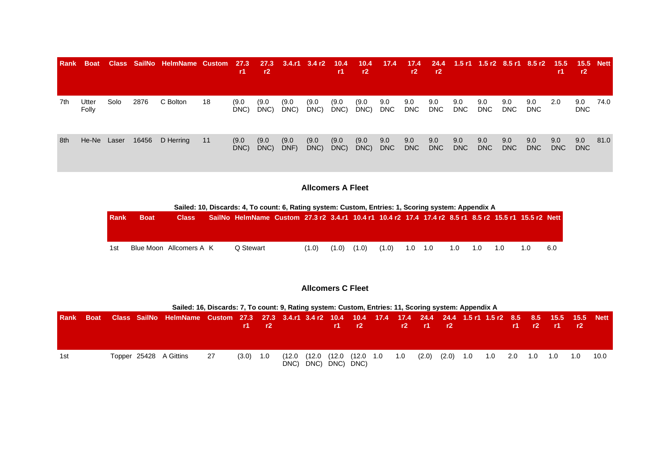| <b>Rank</b> | <b>Boat</b>    |       |      | Class SailNo HelmName Custom 27.3 |    | <b>r1</b>     | r2            | 27.3 3.4.r1 3.4 r2 10.4 |               | r1.           | $-10.4$<br>r2 | 17.4              | 17.4<br>r2 | r2                | 24.4 1.5 r1 1.5 r2 8.5 r1 8.5 r2 15.5 15.5 Nett |                   |                   |                   | <b>r1</b>   | r2                |      |
|-------------|----------------|-------|------|-----------------------------------|----|---------------|---------------|-------------------------|---------------|---------------|---------------|-------------------|------------|-------------------|-------------------------------------------------|-------------------|-------------------|-------------------|-------------|-------------------|------|
| 7th         | Utter<br>Folly | Solo  | 2876 | C Bolton                          | 18 | (9.0)<br>DNC) | (9.0)<br>DNC) | (9.0)<br>DNC)           | (9.0)<br>DNC) | (9.0)<br>DNC) | (9.0)<br>DNC) | 9.0<br>DNC        | 9.0<br>DNC | 9.0<br><b>DNC</b> | 9.0<br><b>DNC</b>                               | 9.0<br><b>DNC</b> | 9.0<br><b>DNC</b> | 9.0<br><b>DNC</b> | 2.0         | 9.0<br><b>DNC</b> | 74.0 |
| 8th         | He-Ne          | Laser |      | 16456 D Herring                   | 11 | (9.0)<br>DNC) | (9.0)<br>DNC) | (9.0)<br>DNF)           | (9.0)<br>DNC) | (9.0)<br>DNC) | (9.0)<br>DNC) | 9.0<br><b>DNC</b> | 9.0<br>DNC | 9.0<br><b>DNC</b> | 9.0<br><b>DNC</b>                               | 9.0<br><b>DNC</b> | 9.0<br>DNC        | 9.0<br><b>DNC</b> | 9.0<br>DNC. | 9.0<br><b>DNC</b> | 81.0 |

# **Allcomers A Fleet**

|             |             |                         | Sailed: 10, Discards: 4, To count: 6, Rating system: Custom, Entries: 1, Scoring system: Appendix A     |       |       |       |                 |  |         |     |     |
|-------------|-------------|-------------------------|---------------------------------------------------------------------------------------------------------|-------|-------|-------|-----------------|--|---------|-----|-----|
| <b>Rank</b> | <b>Boat</b> | <b>Class</b>            | , SailNo HelmName Custom 27.3 r2 3.4.r1 10.4 r1 10.4 r2 17.4 17.4 r2 8.5 r1 8.5 r2 15.5 r1 15.5 r2 Nett |       |       |       |                 |  |         |     |     |
|             |             |                         |                                                                                                         |       |       |       |                 |  |         |     |     |
|             |             |                         |                                                                                                         |       |       |       |                 |  |         |     |     |
| 1st         |             | Blue Moon Allcomers A K | Q Stewart                                                                                               | (1.0) | (1.0) | (1.0) | $(1.0)$ 1.0 1.0 |  | 1.0 1.0 | 1.0 | 6.0 |
|             |             |                         |                                                                                                         |       |       |       |                 |  |         |     |     |

### **Allcomers C Fleet**

|     |  | Sailed: 16, Discards: 7, To count: 9, Rating system: Custom, Entries: 11, Scoring system: Appendix A                           |    |             |                                                                  |        |                              |                 |     |                     |  |             |  |                     |      |
|-----|--|--------------------------------------------------------------------------------------------------------------------------------|----|-------------|------------------------------------------------------------------|--------|------------------------------|-----------------|-----|---------------------|--|-------------|--|---------------------|------|
|     |  | Rank Boat Class SailNo HelmName Custom 27.3 27.3 3.4.r1 3.4r2 10.4 10.4 17.4 17.4 24.4 24.4 1.5r1 1.5r2 8.5 8.5 15.5 15.5 Nett |    |             | $\mathbf{r}$ $\mathbf{r}$ $\mathbf{r}$ $\mathbf{r}$ $\mathbf{r}$ |        |                              | r1 r2           |     | $r2$ $r1$ $r2$      |  |             |  | $r1$ $r2$ $r1$ $r2$ |      |
| 1st |  | Topper 25428 A Gittins                                                                                                         | 27 | $(3.0)$ 1.0 |                                                                  | (12.0) | (12.0<br>DNC) DNC) DNC) DNC) | (12.0 (12.0 1.0 | 1.0 | $(2.0)$ $(2.0)$ 1.0 |  | 1.0 2.0 1.0 |  | 1.0 1.0             | 10.0 |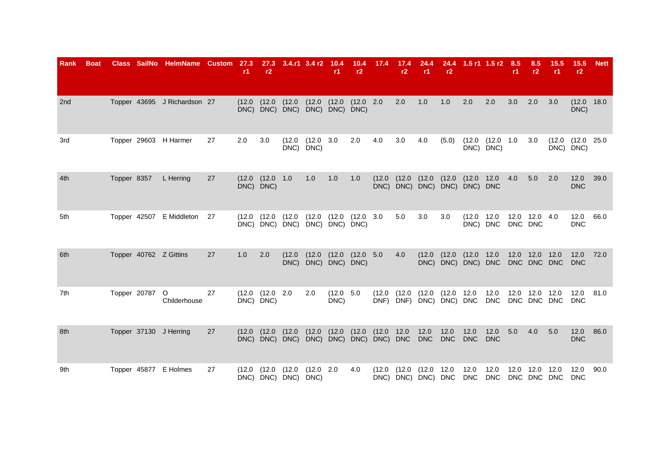| Rank | <b>Boat</b> |             |                | Class SailNo HelmName Custom 27.3 |    | r1    | r2                                 | 27.3 3.4.r1 3.4 r2 10.4                                                  |                            | r1                | r2                             | $10.4$ 17.4 | 17.4<br>r2        | 24.4<br>r1                     | r2    |                                            | 24.4 1.5 r1 1.5 r2 8.5 | <b>r1</b> | 8.5<br>r2                     | 15.5<br>r1  | <b>15.5</b><br>r2                     | <b>Nett</b> |
|------|-------------|-------------|----------------|-----------------------------------|----|-------|------------------------------------|--------------------------------------------------------------------------|----------------------------|-------------------|--------------------------------|-------------|-------------------|--------------------------------|-------|--------------------------------------------|------------------------|-----------|-------------------------------|-------------|---------------------------------------|-------------|
| 2nd  |             |             |                | Topper 43695 J Richardson 27      |    |       |                                    | (12.0 (12.0 (12.0 (12.0 (12.0 (12.0 2.0<br>DNC) DNC) DNC) DNC) DNC) DNC) |                            |                   |                                |             | 2.0               | 1.0                            | 1.0   | 2.0                                        | 2.0                    | 3.0       | 2.0                           | 3.0         | (12.0 18.0<br>DNC)                    |             |
| 3rd  |             |             |                | Topper 29603 H Harmer             | 27 | 2.0   | 3.0                                | (12.0)                                                                   | $(12.0 \t3.0$<br>DNC) DNC) |                   | 2.0                            | 4.0         | 3.0               | 4.0                            | (5.0) | DNC) DNC)                                  | $(12.0 \t(12.0 \t1.0$  |           | 3.0                           |             | $(12.0)$ $(12.0)$ $25.0$<br>DNC) DNC) |             |
| 4th  |             | Topper 8357 |                | L Herring                         | 27 |       | (12.0 (12.0 1.0<br>DNC) DNC)       |                                                                          | 1.0                        | 1.0               | 1.0                            | (12.0)      | (12.0)            | $(12.0)$ $(12.0)$              |       | (12.0 12.0<br>DNC) DNC) DNC) DNC) DNC) DNC |                        | 4.0       | 5.0                           | 2.0         | 12.0<br><b>DNC</b>                    | 39.0        |
| 5th  |             |             |                | Topper 42507 E Middleton 27       |    |       | $(12.0)$ $(12.0)$                  | (12.0)<br>DNC) DNC) DNC) DNC) DNC) DNC)                                  |                            | (12.0 (12.0       | $(12.0 \t3.0$                  |             | 5.0               | 3.0                            | 3.0   | (12.0 12.0<br>DNC) DNC                     |                        | DNC DNC   | 12.0 12.0 4.0                 |             | 12.0<br><b>DNC</b>                    | 66.0        |
| 6th  |             |             |                | Topper 40762 Z Gittins            | 27 | 1.0   | 2.0                                | (12.0)                                                                   | DNC) DNC) DNC) DNC)        |                   | $(12.0 \t(12.0 \t(12.0 \t 5.0$ |             | 4.0               | $(12.0)$ $(12.0)$              |       | (12.0 12.0<br>DNC) DNC) DNC) DNC           |                        |           | 12.0 12.0 12.0<br>DNC DNC DNC |             | 12.0<br><b>DNC</b>                    | 72.0        |
| 7th  |             |             | Topper 20787 O | Childerhouse                      | 27 |       | $(12.0 \t(12.0 \t2.0$<br>DNC) DNC) |                                                                          | 2.0                        | (12.0 5.0<br>DNC) |                                | (12.0)      |                   | $(12.0 \t(12.0 \t(12.0 \t12.0$ |       | DNF) DNF) DNC) DNC) DNC                    | 12.0<br>DNC            |           | 12.0 12.0 12.0                | DNC DNC DNC | 12.0<br><b>DNC</b>                    | 81.0        |
| 8th  |             |             |                | Topper 37130 J Herring            | 27 |       | $(12.0)$ $(12.0)$                  | $(12.0)$ $(12.0)$ $(12.0)$ $(12.0)$ $(12.0)$ $12.0$                      |                            |                   |                                |             |                   | 12.0                           | 12.0  | 12.0<br><b>DNC</b>                         | 12.0<br><b>DNC</b>     | 5.0       | 4.0                           | 5.0         | 12.0<br><b>DNC</b>                    | 86.0        |
| 9th  |             |             |                | Topper 45877 E Holmes             | 27 | (12.0 | (12.0)                             | (12.0<br>DNC) DNC) DNC) DNC)                                             | (12.0 2.0                  |                   | 4.0                            |             | $(12.0)$ $(12.0)$ | (12.0 12.0                     |       | 12.0<br>DNC) DNC) DNC) DNC DNC DNC         | 12.0                   |           | 12.0 12.0<br>DNC DNC DNC      | 12.0        | 12.0<br><b>DNC</b>                    | 90.0        |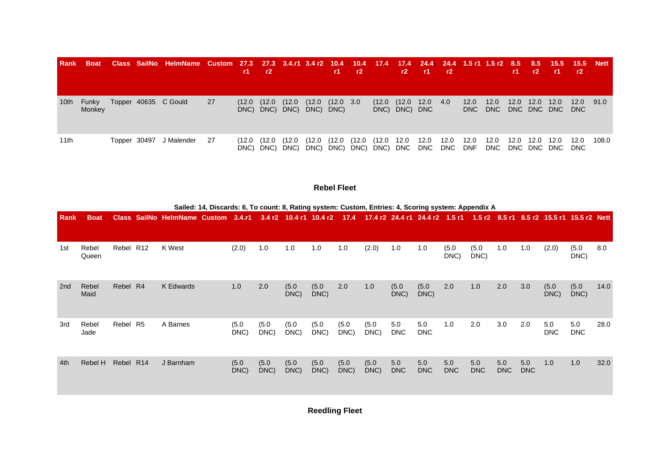| Rank | <b>Boat</b>            |              | Class SailNo HelmName Custom 27.3 27.3 3.4.r1 3.4 r2 10.4 10.4 17.4 17.4 24.4 24.4 1.5 r1 1.5 r2 8.5 8.5 15.5 15.5 Nett |      | <b>r1</b> | r2                       |                                                        |        | r1                    | r2    |            |                                  | $r2$ $r1$ $r2$ |      |                    |                    | -r1  | r2                  | -r1                         | r2          |       |
|------|------------------------|--------------|-------------------------------------------------------------------------------------------------------------------------|------|-----------|--------------------------|--------------------------------------------------------|--------|-----------------------|-------|------------|----------------------------------|----------------|------|--------------------|--------------------|------|---------------------|-----------------------------|-------------|-------|
| 10th | <b>Funky</b><br>Monkey |              | Topper 40635 C Gould                                                                                                    | -27  | (12.0     | (12.0)                   | (12.0)<br>DNC) DNC) DNC) DNC) DNC)                     |        | $(12.0 \t(12.0 \t3.0$ |       |            | $(12.0 \t(12.0$<br>DNC) DNC) DNC | 12.0           | -4.0 | 12.0<br><b>DNC</b> | 12.0<br><b>DNC</b> | 12.0 | 12.0<br>DNC DNC DNC | 12.0                        | 12.0<br>DNC | 91.0  |
| 11th |                        | Topper 30497 | J Malender                                                                                                              | - 27 |           | (12.0 (12.0<br>DNC) DNC) | (12.0)<br>DNC) DNC) DNC) DNC) DNC) DNC DNC DNC DNC DNF | (12.0) | (12.0                 | (12.0 | (12.0 12.0 |                                  | 12.0           | 12.0 | 12.0               | 12.0               |      | 12.0 12.0           | 12.0<br>DNC DNC DNC DNC DNC | 12.0        | 108.0 |

#### **Rebel Fleet**

|      |                |           | Sailed: 14, Discards: 6, To count: 8, Rating system: Custom, Entries: 4, Scoring system: Appendix A                                      |               |               |               |               |               |               |                   |                   |                   |                   |            |                   |                   |                   |      |
|------|----------------|-----------|------------------------------------------------------------------------------------------------------------------------------------------|---------------|---------------|---------------|---------------|---------------|---------------|-------------------|-------------------|-------------------|-------------------|------------|-------------------|-------------------|-------------------|------|
| Rank | <b>Boat</b>    |           | Class SailNo HelmName Custom 3.4.r1 3.4 r2 10.4 r1 10.4 r2 17.4 17.4 r2 24.4 r1 24.4 r2 1.5 r1 1.5 r2 8.5 r1 8.5 r2 15.5 r1 15.5 r2 Nett |               |               |               |               |               |               |                   |                   |                   |                   |            |                   |                   |                   |      |
| 1st  | Rebel<br>Queen | Rebel R12 | K West                                                                                                                                   | (2.0)         | 1.0           | 1.0           | 1.0           | 1.0           | (2.0)         | 1.0               | 1.0               | (5.0)<br>DNC)     | (5.0)<br>DNC)     | 1.0        | 1.0               | (2.0)             | (5.0)<br>DNC)     | 8.0  |
| 2nd  | Rebel<br>Maid  | Rebel R4  | <b>K</b> Edwards                                                                                                                         | 1.0           | 2.0           | (5.0)<br>DNC) | (5.0)<br>DNC) | 2.0           | 1.0           | (5.0)<br>DNC)     | (5.0)<br>DNC)     | 2.0               | 1.0               | 2.0        | 3.0               | (5.0)<br>DNC)     | (5.0)<br>DNC)     | 14.0 |
| 3rd  | Rebel<br>Jade  | Rebel R5  | A Barnes                                                                                                                                 | (5.0)<br>DNC) | (5.0)<br>DNC) | (5.0)<br>DNC) | (5.0)<br>DNC) | (5.0)<br>DNC) | (5.0)<br>DNC) | 5.0<br><b>DNC</b> | 5.0<br><b>DNC</b> | 1.0               | 2.0               | 3.0        | 2.0               | 5.0<br><b>DNC</b> | 5.0<br><b>DNC</b> | 28.0 |
| 4th  | Rebel H        | Rebel R14 | J Barnham                                                                                                                                | (5.0)<br>DNC) | (5.0)<br>DNC) | (5.0)<br>DNC) | (5.0)<br>DNC) | (5.0)<br>DNC) | (5.0)<br>DNC) | 5.0<br><b>DNC</b> | 5.0<br><b>DNC</b> | 5.0<br><b>DNC</b> | 5.0<br><b>DNC</b> | 5.0<br>DNC | 5.0<br><b>DNC</b> | 1.0               | 1.0               | 32.0 |

**Reedling Fleet**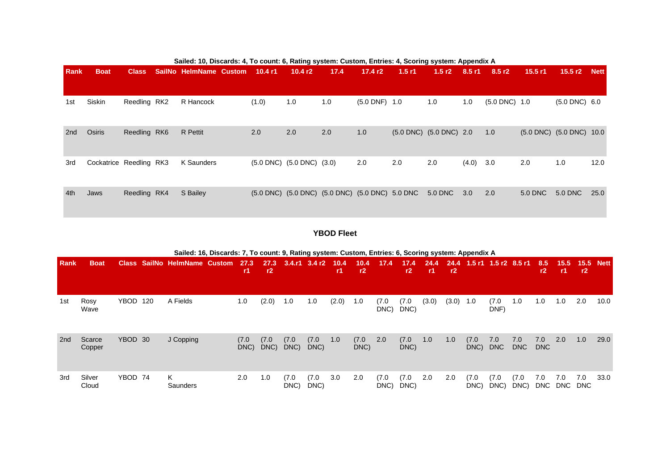|             |                         |              | Sailed: 10, Discards: 4, To count: 6, Rating system: Custom, Entries: 4, Scoring system: Appendix A |       |                                                 |                                                 |                   |       |                         |          |                    |         |                               |      |
|-------------|-------------------------|--------------|-----------------------------------------------------------------------------------------------------|-------|-------------------------------------------------|-------------------------------------------------|-------------------|-------|-------------------------|----------|--------------------|---------|-------------------------------|------|
| <b>Rank</b> | <b>Boat</b>             | <b>Class</b> | SailNo HelmName Custom 10.4 r1                                                                      |       | 10.4 $r2$                                       | 17.4                                            | 17.4 $r2$         | 1.5r1 | 1.5 $r2$                | $8.5$ r1 | 8.5 r2             | 15.5 r1 | 15.5 r2 Nett                  |      |
| 1st         | Siskin                  | Reedling RK2 | R Hancock                                                                                           | (1.0) | 1.0                                             | 1.0                                             | $(5.0$ DNF) $1.0$ |       | 1.0                     | 1.0      | $(5.0$ DNC $)$ 1.0 |         | $(5.0$ DNC $)$ 6.0            |      |
| 2nd         | Osiris                  | Reedling RK6 | R Pettit                                                                                            | 2.0   | 2.0                                             | 2.0                                             | 1.0               |       | (5.0 DNC) (5.0 DNC) 2.0 |          | 1.0                |         | $(5.0$ DNC $)$ $(5.0$ DNC $)$ | 10.0 |
| 3rd         | Cockatrice Reedling RK3 |              | K Saunders                                                                                          |       | $(5.0 \text{ DNC})$ $(5.0 \text{ DNC})$ $(3.0)$ |                                                 | 2.0               | 2.0   | 2.0                     | (4.0)    | 3.0                | 2.0     | 1.0                           | 12.0 |
| 4th         | Jaws                    | Reedling RK4 | S Bailey                                                                                            |       |                                                 | (5.0 DNC) (5.0 DNC) (5.0 DNC) (5.0 DNC) 5.0 DNC |                   |       | 5.0 DNC                 | 3.0      | 2.0                | 5.0 DNC | 5.0 DNC                       | 25.0 |

**YBOD Fleet**

|             |                  |         |     | Sailed: 16, Discards: 7, To count: 9, Rating system: Custom, Entries: 6, Scoring system: Appendix A |               |               |               |                   |             |               |               |               |               |            |               |                   |               |                   |                |                   |             |
|-------------|------------------|---------|-----|-----------------------------------------------------------------------------------------------------|---------------|---------------|---------------|-------------------|-------------|---------------|---------------|---------------|---------------|------------|---------------|-------------------|---------------|-------------------|----------------|-------------------|-------------|
| <b>Rank</b> | <b>Boat</b>      |         |     | Class SailNo HelmName Custom                                                                        | 27.3<br>-r1   | 27.3<br>r2    |               | $3.4.r1$ $3.4 r2$ | 10.4<br>-r1 | 10.4<br>r2    | 17.4          | 17.4<br>r2    | 24.4<br>$-11$ | 24.4<br>r2 | 1.5 r1        | $1.5r2$ 8.5 r1    |               | 8.5<br>r2         | 15.5<br>-r1    | 15.5<br>r2        | <b>Nett</b> |
| 1st         | Rosy<br>Wave     | YBOD    | 120 | A Fields                                                                                            | 1.0           | (2.0)         | 1.0           | 1.0               | (2.0)       | 1.0           | (7.0)<br>DNC) | (7.0)<br>DNC) | (3.0)         | (3.0)      | 1.0           | (7.0)<br>DNF)     | 1.0           | 1.0               | 1.0            | 2.0               | 10.0        |
| 2nd         | Scarce<br>Copper | YBOD 30 |     | J Copping                                                                                           | (7.0)<br>DNC) | (7.0)<br>DNC) | (7.0)<br>DNC) | (7.0)<br>DNC)     | 1.0         | (7.0)<br>DNC) | 2.0           | (7.0)<br>DNC) | 1.0           | 1.0        | (7.0)<br>DNC) | 7.0<br><b>DNC</b> | 7.0<br>DNC    | 7.0<br><b>DNC</b> | 2.0            | 1.0               | 29.0        |
| 3rd         | Silver<br>Cloud  | YBOD 74 |     | K.<br>Saunders                                                                                      | 2.0           | 1.0           | (7.0<br>DNC)  | (7.0)<br>DNC)     | 3.0         | 2.0           | (7.0)<br>DNC) | (7.0<br>DNC)  | 2.0           | 2.0        | (7.0)<br>DNC) | (7.0)<br>DNC)     | (7.0)<br>DNC) | 7.0               | 7.0<br>DNC DNC | 7.0<br><b>DNC</b> | 33.0        |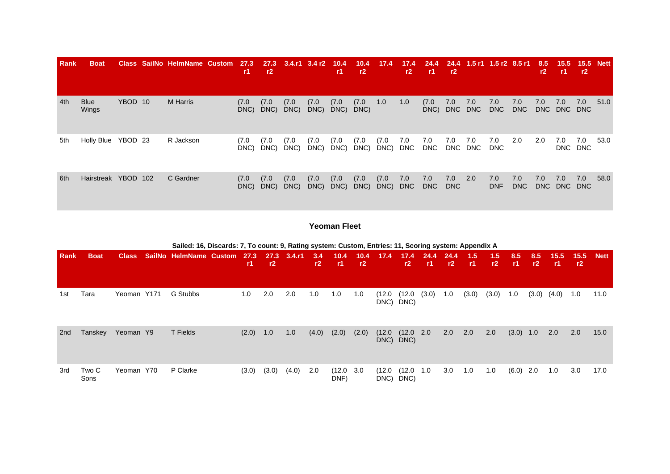| <b>Rank</b> | <b>Boat</b>          |         | Class SailNo HelmName Custom | 27.3<br>-r1   | 27.3<br>r2    | $3.4.r1$ $3.4 r2$ $10.4$ |               | -r1 -         | 10.4<br>r2    | 17.4          | 17.4<br>r2        | 24.4<br>-r1       | r2             | 24.4 1.5 r1 1.5 r2 8.5 r1 |                   |                   | 8.5<br>r2         | 15.5<br>-r1 -      | 15.5 Nett<br>r2 |      |
|-------------|----------------------|---------|------------------------------|---------------|---------------|--------------------------|---------------|---------------|---------------|---------------|-------------------|-------------------|----------------|---------------------------|-------------------|-------------------|-------------------|--------------------|-----------------|------|
| 4th         | <b>Blue</b><br>Wings | YBOD 10 | <b>M</b> Harris              | (7.0)<br>DNC) | (7.0)<br>DNC) | (7.0)<br>DNC)            | (7.0)<br>DNC) | (7.0)<br>DNC) | (7.0)<br>DNC) | 1.0           | 1.0               | (7.0)<br>DNC)     | 7.0<br>DNC DNC | 7.0                       | 7.0<br>DNC        | 7.0<br><b>DNC</b> | 7.0               | 7.0<br>DNC DNC DNC | 7.0             | 51.0 |
| 5th         | Holly Blue           | YBOD 23 | R Jackson                    | (7.0)<br>DNC) | (7.0)<br>DNC) | (7.0)<br>DNC)            | (7.0)<br>DNC) | (7.0)<br>DNC) | (7.0)<br>DNC) | (7.0)<br>DNC) | 7.0<br><b>DNC</b> | 7.0<br><b>DNC</b> | 7.0            | 7.0<br>DNC DNC            | 7.0<br><b>DNC</b> | 2.0               | 2.0               | 7.0<br>DNC DNC     | 7.0             | 53.0 |
| 6th         | Hairstreak YBOD 102  |         | C Gardner                    | (7.0)<br>DNC) | (7.0)<br>DNC) | (7.0)<br>DNC)            | (7.0)<br>DNC) | (7.0)<br>DNC) | (7.0)<br>DNC) | (7.0)<br>DNC) | 7.0<br><b>DNC</b> | 7.0<br><b>DNC</b> | 7.0<br>DNC     | 2.0                       | 7.0<br><b>DNF</b> | 7.0<br><b>DNC</b> | 7.0<br><b>DNC</b> | 7.0<br>DNC DNC     | 7.0             | 58.0 |

### **Yeoman Fleet**

|      |               |              | Sailed: 16, Discards: 7, To count: 9, Rating system: Custom, Entries: 11, Scoring system: Appendix A |                   |            |        |           |                |            |                |                        |              |             |            |           |           |           |             |            |             |
|------|---------------|--------------|------------------------------------------------------------------------------------------------------|-------------------|------------|--------|-----------|----------------|------------|----------------|------------------------|--------------|-------------|------------|-----------|-----------|-----------|-------------|------------|-------------|
| Rank | <b>Boat</b>   | <b>Class</b> | SailNo HelmName Custom                                                                               | 27.3<br><b>r1</b> | 27.3<br>r2 | 3.4.11 | 3.4<br>r2 | 10.4<br>- r1   | 10.4<br>r2 | 17.4           | 17.4<br>r2             | 24.4<br>- r1 | -24.4<br>r2 | 1.5<br>-r1 | 1.5<br>r2 | 8.5<br>r1 | 8.5<br>r2 | 15.5<br>-r1 | 15.5<br>r2 | <b>Nett</b> |
| 1st  | Tara          | Yeoman Y171  | G Stubbs                                                                                             | 1.0               | 2.0        | 2.0    | 1.0       | 1.0            | 1.0        | (12.0          | (12.0)<br>DNC) DNC)    | (3.0)        | 1.0         | (3.0)      | (3.0)     | 1.0       | (3.0)     | (4.0)       | $-1.0$     | 11.0        |
| 2nd  | Tanskey       | Yeoman Y9    | T Fields                                                                                             | (2.0)             | 1.0        | 1.0    | (4.0)     | (2.0)          | (2.0)      | (12.0)         | (12.0 2.0<br>DNC) DNC) |              | 2.0         | 2.0        | 2.0       | (3.0)     | 1.0       | 2.0         | 2.0        | 15.0        |
| 3rd  | Two C<br>Sons | Yeoman Y70   | P Clarke                                                                                             | (3.0)             | (3.0)      | (4.0)  | 2.0       | (12.0)<br>DNF) | 3.0        | (12.0)<br>DNC) | (12.0 1.0<br>DNC)      |              | 3.0         | 1.0        | 1.0       | (6.0)     | 2.0       | 1.0         | 3.0        | 17.0        |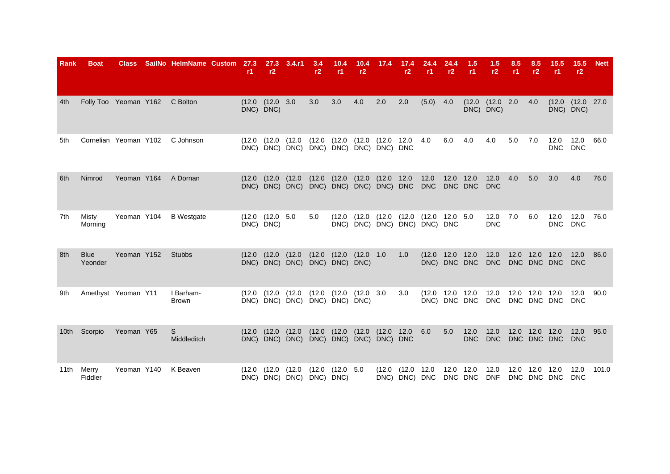| <b>Rank</b> | Boat                   | <b>Class</b> | SailNo HelmName Custom | 27.3<br>r1 | 27.3<br>r2                          | 3.4.r1                                               | 3.4<br>r2 | 10.4<br>r1                          | 10.4<br>r2    | 17.4                                                                             | 17.4<br>r2                  | 24.4<br>r1.                     | 24.4<br>r2   | 1.5<br>r1          | 1.5<br>r2              | 8.5<br>r1 | 8.5<br>r2                     | 15.5<br><b>r1</b>  | 15.5<br>r2             | <b>Nett</b> |
|-------------|------------------------|--------------|------------------------|------------|-------------------------------------|------------------------------------------------------|-----------|-------------------------------------|---------------|----------------------------------------------------------------------------------|-----------------------------|---------------------------------|--------------|--------------------|------------------------|-----------|-------------------------------|--------------------|------------------------|-------------|
| 4th         | Folly Too Yeoman Y162  |              | C Bolton               |            | (12.0 (12.0 3.0<br>DNC) DNC)        |                                                      | 3.0       | 3.0                                 | 4.0           | 2.0                                                                              | 2.0                         | (5.0)                           | 4.0          | (12.0)             | (12.0 2.0<br>DNC) DNC) |           | 4.0                           | DNC) DNC)          | $(12.0 \t(12.0 \t27.0$ |             |
| 5th         | Cornelian Yeoman Y102  |              | C Johnson              | (12.0)     | (12.0                               | (12.0)<br>DNC) DNC) DNC) DNC) DNC) DNC) DNC) DNC     | (12.0)    | (12.0)                              | (12.0)        | (12.0 12.0                                                                       |                             | 4.0                             | 6.0          | 4.0                | 4.0                    | 5.0       | 7.0                           | 12.0<br><b>DNC</b> | 12.0<br><b>DNC</b>     | 66.0        |
| 6th         | Nimrod                 | Yeoman Y164  | A Dornan               |            | $(12.0)$ $(12.0)$                   | (12.0)<br>DNC) DNC) DNC) DNC) DNC) DNC) DNC) DNC DNC | (12.0)    | (12.0)                              | (12.0)        | (12.0 12.0                                                                       |                             | 12.0<br><b>DNC</b>              | 12.0 12.0    | DNC DNC            | 12.0<br><b>DNC</b>     | 4.0       | 5.0                           | 3.0                | 4.0                    | 76.0        |
| 7th         | Misty<br>Morning       | Yeoman Y104  | <b>B</b> Westgate      |            | $(12.0 \t(12.0 \t 5.0$<br>DNC) DNC) |                                                      | 5.0       | (12.0)                              |               | $(12.0)$ $(12.0)$ $(12.0)$ $(12.0)$ $12.0$ $5.0$<br>DNC) DNC) DNC) DNC) DNC) DNC |                             |                                 |              |                    | 12.0<br><b>DNC</b>     | 7.0       | 6.0                           | 12.0<br>DNC        | 12.0<br><b>DNC</b>     | 76.0        |
| 8th         | <b>Blue</b><br>Yeonder | Yeoman Y152  | <b>Stubbs</b>          |            | $(12.0)$ $(12.0)$                   | (12.0)<br>DNC) DNC) DNC)                             |           | $(12.0)$ $(12.0)$<br>DNC) DNC) DNC) | (12.0 1.0     |                                                                                  | 1.0                         | (12.0 12.0 12.0                 | DNC) DNC DNC |                    | 12.0<br><b>DNC</b>     |           | 12.0 12.0 12.0<br>DNC DNC DNC |                    | 12.0<br><b>DNC</b>     | 86.0        |
| 9th         | Amethyst Yeoman Y11    |              | I Barham-<br>Brown     | (12.0)     | (12.0                               | (12.0)<br>DNC) DNC) DNC) DNC) DNC) DNC)              | (12.0)    | (12.0)                              | $(12.0 \t3.0$ |                                                                                  | 3.0                         | (12.0 12.0 12.0<br>DNC) DNC DNC |              |                    | 12.0<br><b>DNC</b>     | 12.0      | 12.0 12.0<br>DNC DNC DNC      |                    | 12.0<br><b>DNC</b>     | 90.0        |
| 10th        | Scorpio                | Yeoman Y65   | S<br>Middleditch       | (12.0)     | (12.0)                              | (12.0)<br>DNC) DNC) DNC) DNC) DNC) DNC) DNC) DNC     | (12.0)    | (12.0)                              | (12.0)        | (12.0 12.0                                                                       |                             | 6.0                             | 5.0          | 12.0<br><b>DNC</b> | 12.0<br><b>DNC</b>     | 12.0      | 12.0 12.0<br>DNC DNC DNC      |                    | 12.0<br><b>DNC</b>     | 95.0        |
| 11th        | Merry<br>Fiddler       | Yeoman Y140  | K Beaven               | (12.0      | (12.0)                              | (12.0)<br>DNC) DNC) DNC) DNC) DNC)                   | (12.0)    | (12.0)                              | 5.0           | (12.0)                                                                           | (12.0 12.0<br>DNC) DNC) DNC |                                 | 12.0         | 12.0<br>DNC DNC    | 12.0<br><b>DNF</b>     | 12.0      | 12.0<br>DNC DNC DNC           | 12.0               | 12.0<br><b>DNC</b>     | 101.0       |